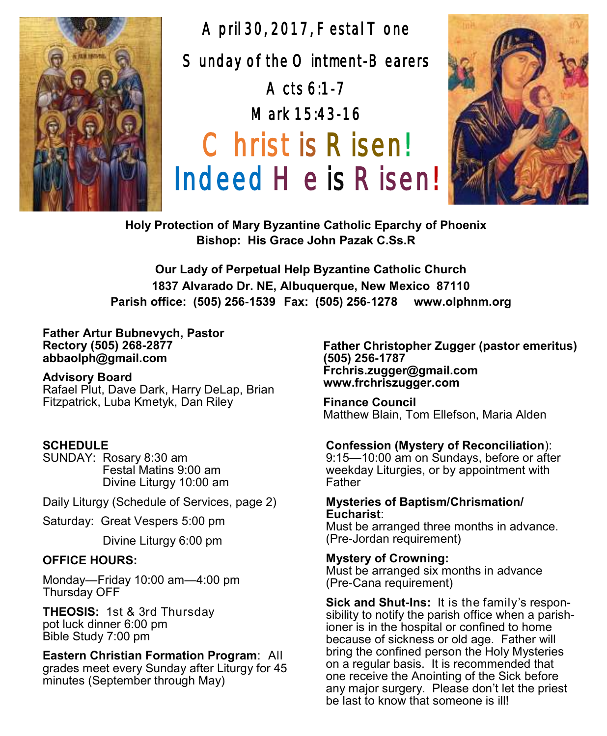

April 30, 2017, Festal Tone Sunday of the Ointment-Bearers Acts 6:1-7 Mark 15:43-16 Christ is Risen! Indeed He is Risen!



**Holy Protection of Mary Byzantine Catholic Eparchy of Phoenix Bishop: His Grace John Pazak C.Ss.R**

**Our Lady of Perpetual Help Byzantine Catholic Church 1837 Alvarado Dr. NE, Albuquerque, New Mexico 87110 Parish office: (505) 256-1539 Fax: (505) 256-1278 www.olphnm.org**

**Father Artur Bubnevych, Pastor Rectory (505) 268-2877 abbaolph@gmail.com** 

#### **Advisory Board**

Rafael Plut, Dave Dark, Harry DeLap, Brian Fitzpatrick, Luba Kmetyk, Dan Riley

#### **SCHEDULE**

SUNDAY: Rosary 8:30 am Festal Matins 9:00 am Divine Liturgy 10:00 am

Daily Liturgy (Schedule of Services, page 2)

Saturday: Great Vespers 5:00 pm

Divine Liturgy 6:00 pm

#### **OFFICE HOURS:**

Monday—Friday 10:00 am—4:00 pm Thursday OFF

**THEOSIS:** 1st & 3rd Thursday pot luck dinner 6:00 pm Bible Study 7:00 pm

**Eastern Christian Formation Program**: All

grades meet every Sunday after Liturgy for 45 minutes (September through May)

**Father Christopher Zugger (pastor emeritus) (505) 256-1787 Frchris.zugger@gmail.com www.frchriszugger.com** 

**Finance Council**  Matthew Blain, Tom Ellefson, Maria Alden

#### **Confession (Mystery of Reconciliation**):

9:15—10:00 am on Sundays, before or after weekday Liturgies, or by appointment with Father

#### **Mysteries of Baptism/Chrismation/ Eucharist**:

Must be arranged three months in advance. (Pre-Jordan requirement)

**Mystery of Crowning:** 

Must be arranged six months in advance (Pre-Cana requirement)

**Sick and Shut-Ins:** It is the family's responsibility to notify the parish office when a parishioner is in the hospital or confined to home because of sickness or old age. Father will bring the confined person the Holy Mysteries on a regular basis. It is recommended that one receive the Anointing of the Sick before any major surgery. Please don't let the priest be last to know that someone is ill!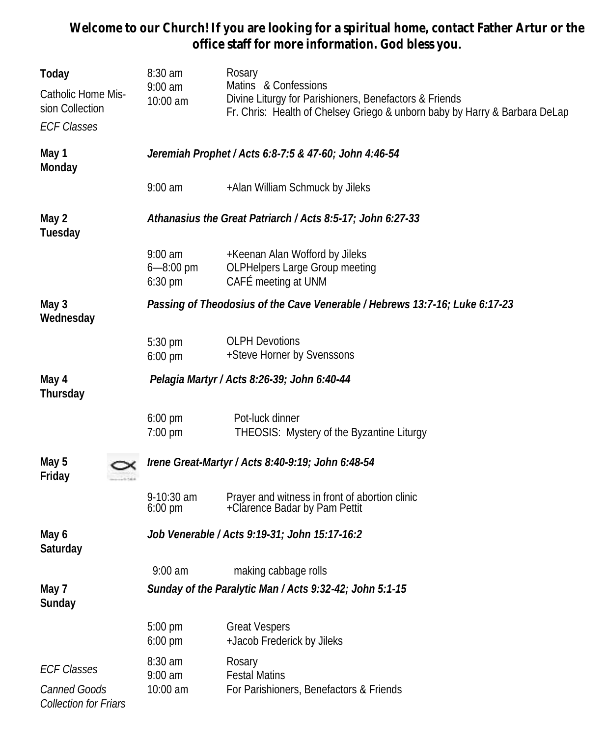**Welcome to our Church! If you are looking for a spiritual home, contact Father Artur or the office staff for more information. God bless you.**

| Today                                                       | 8:30 am                                                                     | Rosary                                                                                                                                                       |  |  |
|-------------------------------------------------------------|-----------------------------------------------------------------------------|--------------------------------------------------------------------------------------------------------------------------------------------------------------|--|--|
| Catholic Home Mis-<br>sion Collection<br><b>ECF Classes</b> | $9:00$ am<br>10:00 am                                                       | Matins & Confessions<br>Divine Liturgy for Parishioners, Benefactors & Friends<br>Fr. Chris: Health of Chelsey Griego & unborn baby by Harry & Barbara DeLap |  |  |
| May 1<br>Monday                                             | Jeremiah Prophet / Acts 6:8-7:5 & 47-60; John 4:46-54                       |                                                                                                                                                              |  |  |
|                                                             | $9:00$ am                                                                   | +Alan William Schmuck by Jileks                                                                                                                              |  |  |
| May 2<br>Tuesday                                            | Athanasius the Great Patriarch / Acts 8:5-17; John 6:27-33                  |                                                                                                                                                              |  |  |
|                                                             | $9:00$ am<br>6-8:00 pm<br>$6:30$ pm                                         | +Keenan Alan Wofford by Jileks<br>OLPHelpers Large Group meeting<br>CAFÉ meeting at UNM                                                                      |  |  |
| May 3<br>Wednesday                                          | Passing of Theodosius of the Cave Venerable / Hebrews 13:7-16; Luke 6:17-23 |                                                                                                                                                              |  |  |
|                                                             | 5:30 pm<br>$6:00$ pm                                                        | <b>OLPH Devotions</b><br>+Steve Horner by Svenssons                                                                                                          |  |  |
| May 4<br>Thursday                                           | Pelagia Martyr / Acts 8:26-39; John 6:40-44                                 |                                                                                                                                                              |  |  |
|                                                             | $6:00$ pm<br>7:00 pm                                                        | Pot-luck dinner<br>THEOSIS: Mystery of the Byzantine Liturgy                                                                                                 |  |  |
| May 5<br>Friday                                             | Irene Great-Martyr / Acts 8:40-9:19; John 6:48-54                           |                                                                                                                                                              |  |  |
|                                                             | 9-10:30 am<br>$6:00 \text{ pm}$                                             | Prayer and witness in front of abortion clinic<br>+Clarence Badar by Pam Pettit                                                                              |  |  |
| May 6<br>Saturday                                           | Job Venerable / Acts 9:19-31; John 15:17-16:2                               |                                                                                                                                                              |  |  |
|                                                             | $9:00$ am                                                                   | making cabbage rolls                                                                                                                                         |  |  |
| May 7<br>Sunday                                             | Sunday of the Paralytic Man / Acts 9:32-42; John 5:1-15                     |                                                                                                                                                              |  |  |
|                                                             | 5:00 pm<br>$6:00 \text{ pm}$                                                | <b>Great Vespers</b><br>+Jacob Frederick by Jileks                                                                                                           |  |  |
| <b>ECF Classes</b><br>Canned Goods                          | 8:30 am<br>$9:00$ am<br>10:00 am                                            | Rosary<br><b>Festal Matins</b><br>For Parishioners, Benefactors & Friends                                                                                    |  |  |
| Collection for Friars                                       |                                                                             |                                                                                                                                                              |  |  |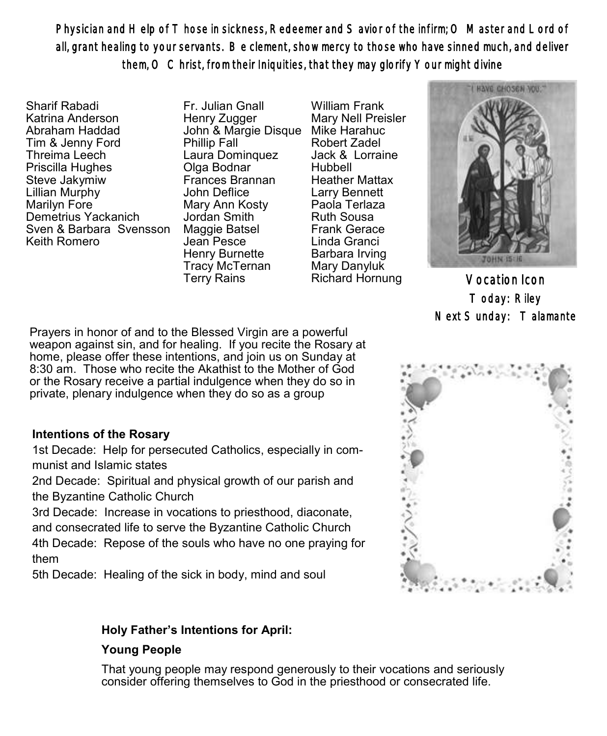Physician and Help of T hose in sickness, Redeemer and S avior of the infirm; O Master and Lord of all, grant healing to your servants. Be clement, show mercy to those who have sinned much, and deliver them, O Christ, from their Iniquities, that they may glorify Your might divine

Sharif Rabadi Katrina Anderson Abraham Haddad Tim & Jenny Ford Threima Leech Priscilla Hughes Steve Jakymiw Lillian Murphy Marilyn Fore Demetrius Yackanich Sven & Barbara Svensson Keith Romero

Fr. Julian Gnall Henry Zugger John & Margie Disque Mike Harahuc Phillip Fall Laura Dominquez Olga Bodnar Frances Brannan John Deflice Mary Ann Kosty Jordan Smith Maggie Batsel Jean Pesce Henry Burnette Tracy McTernan Terry Rains

William Frank Mary Nell Preisler Robert Zadel Jack & Lorraine Hubbell Heather Mattax Larry Bennett Paola Terlaza Ruth Sousa Frank Gerace Linda Granci Barbara Irving Mary Danyluk



Richard Hornung Vocation Icon Today: Riley Next Sunday: Talamante

Prayers in honor of and to the Blessed Virgin are a powerful weapon against sin, and for healing. If you recite the Rosary at home, please offer these intentions, and join us on Sunday at 8:30 am. Those who recite the Akathist to the Mother of God or the Rosary receive a partial indulgence when they do so in private, plenary indulgence when they do so as a group

### **Intentions of the Rosary**

1st Decade: Help for persecuted Catholics, especially in communist and Islamic states

2nd Decade: Spiritual and physical growth of our parish and the Byzantine Catholic Church

3rd Decade: Increase in vocations to priesthood, diaconate, and consecrated life to serve the Byzantine Catholic Church 4th Decade: Repose of the souls who have no one praying for them

5th Decade: Healing of the sick in body, mind and soul

# **Holy Father's Intentions for April:**

### **Young People**

That young people may respond generously to their vocations and seriously consider offering themselves to God in the priesthood or consecrated life.

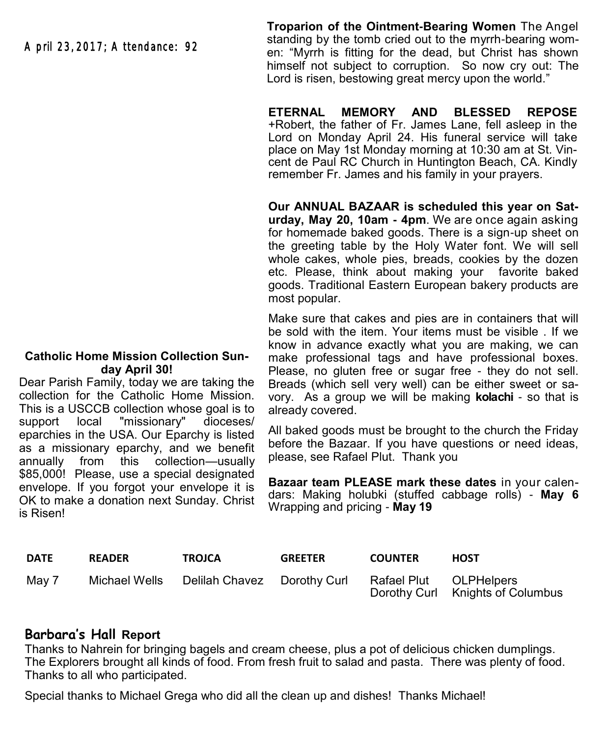April 23, 2017; Attendance: 92

#### **Catholic Home Mission Collection Sunday April 30!**

Dear Parish Family, today we are taking the collection for the Catholic Home Mission. This is a USCCB collection whose goal is to support local "missionary" dioceses/ eparchies in the USA. Our Eparchy is listed as a missionary eparchy, and we benefit annually from this collection—usually \$85,000! Please, use a special designated envelope. If you forgot your envelope it is OK to make a donation next Sunday. Christ is Risen!

**Troparion of the Ointment-Bearing Women** The Angel standing by the tomb cried out to the myrrh-bearing women: "Myrrh is fitting for the dead, but Christ has shown himself not subject to corruption. So now cry out: The Lord is risen, bestowing great mercy upon the world."

**ETERNAL MEMORY AND BLESSED REPOSE** +Robert, the father of Fr. James Lane, fell asleep in the Lord on Monday April 24. His funeral service will take place on May 1st Monday morning at 10:30 am at St. Vincent de Paul RC Church in Huntington Beach, CA. Kindly remember Fr. James and his family in your prayers.

**Our ANNUAL BAZAAR is scheduled this year on Saturday, May 20, 10am - 4pm**. We are once again asking for homemade baked goods. There is a sign-up sheet on the greeting table by the Holy Water font. We will sell whole cakes, whole pies, breads, cookies by the dozen etc. Please, think about making your favorite baked goods. Traditional Eastern European bakery products are most popular.

Make sure that cakes and pies are in containers that will be sold with the item. Your items must be visible . If we know in advance exactly what you are making, we can make professional tags and have professional boxes. Please, no gluten free or sugar free - they do not sell. Breads (which sell very well) can be either sweet or savory. As a group we will be making **kolachi** - so that is already covered.

All baked goods must be brought to the church the Friday before the Bazaar. If you have questions or need ideas, please, see Rafael Plut. Thank you

**Bazaar team PLEASE mark these dates** in your calendars: Making holubki (stuffed cabbage rolls) - **May 6**  Wrapping and pricing - **May 19**

| <b>DATE</b> | <b>READER</b> | <b>TROJCA</b>                             | <b>GREETER</b> | <b>COUNTER</b>         | HOST                             |
|-------------|---------------|-------------------------------------------|----------------|------------------------|----------------------------------|
| May 7       |               | Michael Wells Delilah Chavez Dorothy Curl |                | Rafael Plut OLPHelpers | Dorothy Curl Knights of Columbus |

### **Barbara's Hall Report**

Thanks to Nahrein for bringing bagels and cream cheese, plus a pot of delicious chicken dumplings. The Explorers brought all kinds of food. From fresh fruit to salad and pasta. There was plenty of food. Thanks to all who participated.

Special thanks to Michael Grega who did all the clean up and dishes! Thanks Michael!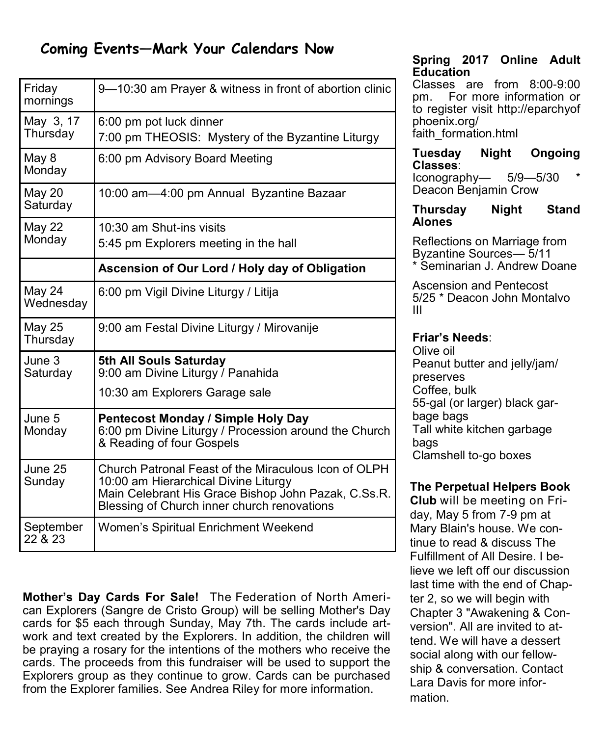# **Coming Events—Mark Your Calendars Now**

| Friday<br>mornings        | 9-10:30 am Prayer & witness in front of abortion clinic                                                                                                                                            |  |  |  |
|---------------------------|----------------------------------------------------------------------------------------------------------------------------------------------------------------------------------------------------|--|--|--|
| May 3, 17<br>Thursday     | 6:00 pm pot luck dinner<br>7:00 pm THEOSIS: Mystery of the Byzantine Liturgy                                                                                                                       |  |  |  |
| May 8<br>Monday           | 6:00 pm Advisory Board Meeting                                                                                                                                                                     |  |  |  |
| <b>May 20</b><br>Saturday | 10:00 am-4:00 pm Annual Byzantine Bazaar                                                                                                                                                           |  |  |  |
| <b>May 22</b><br>Monday   | 10:30 am Shut-ins visits<br>5:45 pm Explorers meeting in the hall                                                                                                                                  |  |  |  |
|                           | Ascension of Our Lord / Holy day of Obligation                                                                                                                                                     |  |  |  |
| May 24<br>Wednesday       | 6:00 pm Vigil Divine Liturgy / Litija                                                                                                                                                              |  |  |  |
| May 25<br>Thursday        | 9:00 am Festal Divine Liturgy / Mirovanije                                                                                                                                                         |  |  |  |
| June 3<br>Saturday        | 5th All Souls Saturday<br>9:00 am Divine Liturgy / Panahida                                                                                                                                        |  |  |  |
|                           | 10:30 am Explorers Garage sale                                                                                                                                                                     |  |  |  |
| June 5<br>Monday          | Pentecost Monday / Simple Holy Day<br>6:00 pm Divine Liturgy / Procession around the Church<br>& Reading of four Gospels                                                                           |  |  |  |
| June 25<br>Sunday         | Church Patronal Feast of the Miraculous Icon of OLPH<br>10:00 am Hierarchical Divine Liturgy<br>Main Celebrant His Grace Bishop John Pazak, C.Ss.R.<br>Blessing of Church inner church renovations |  |  |  |
| September<br>22 & 23      | Women's Spiritual Enrichment Weekend                                                                                                                                                               |  |  |  |

**Mother's Day Cards For Sale!** The Federation of North American Explorers (Sangre de Cristo Group) will be selling Mother's Day cards for \$5 each through Sunday, May 7th. The cards include artwork and text created by the Explorers. In addition, the children will be praying a rosary for the intentions of the mothers who receive the cards. The proceeds from this fundraiser will be used to support the Explorers group as they continue to grow. Cards can be purchased from the Explorer families. See Andrea Riley for more information.

**Spring 2017 Online Adult Education** 

Classes are from 8:00-9:00 pm. For more information or to register visit http://eparchyof phoenix.org/ faith\_formation.html

**Tuesday Night Ongoing Classes**:

 $I$ conography—  $5/9$ — $5/30$ Deacon Benjamin Crow

**Thursday Night Stand Alones** 

Reflections on Marriage from Byzantine Sources— 5/11 \* Seminarian J. Andrew Doane

Ascension and Pentecost 5/25 \* Deacon John Montalvo III

# **Friar's Needs**:

Olive oil Peanut butter and jelly/jam/ preserves Coffee, bulk 55-gal (or larger) black garbage bags Tall white kitchen garbage bags Clamshell to-go boxes

# **The Perpetual Helpers Book**

**Club** will be meeting on Friday, May 5 from 7-9 pm at Mary Blain's house. We continue to read & discuss The Fulfillment of All Desire. I believe we left off our discussion last time with the end of Chapter 2, so we will begin with Chapter 3 "Awakening & Conversion". All are invited to attend. We will have a dessert social along with our fellowship & conversation. Contact Lara Davis for more information.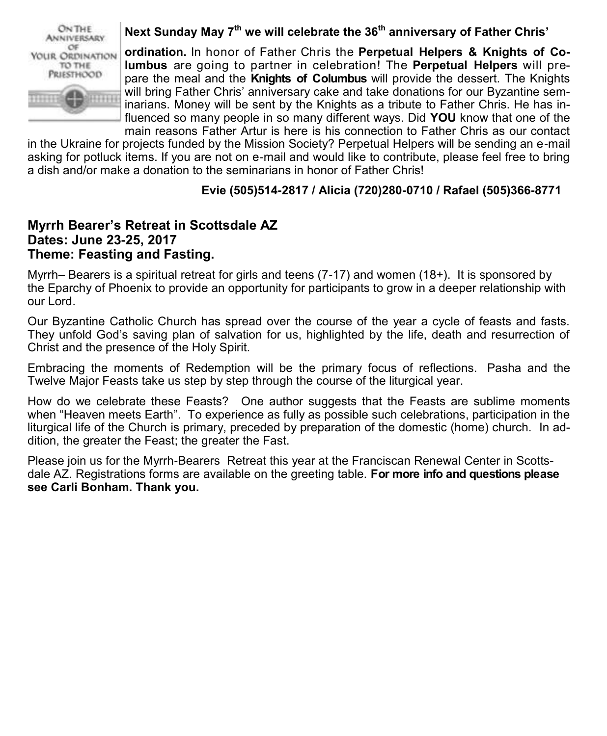

# **Next Sunday May 7th we will celebrate the 36th anniversary of Father Chris'**

**ordination.** In honor of Father Chris the **Perpetual Helpers & Knights of Columbus** are going to partner in celebration! The **Perpetual Helpers** will prepare the meal and the **Knights of Columbus** will provide the dessert. The Knights will bring Father Chris' anniversary cake and take donations for our Byzantine seminarians. Money will be sent by the Knights as a tribute to Father Chris. He has influenced so many people in so many different ways. Did **YOU** know that one of the main reasons Father Artur is here is his connection to Father Chris as our contact

in the Ukraine for projects funded by the Mission Society? Perpetual Helpers will be sending an e-mail asking for potluck items. If you are not on e-mail and would like to contribute, please feel free to bring a dish and/or make a donation to the seminarians in honor of Father Chris!

# **Evie (505)514-2817 / Alicia (720)280-0710 / Rafael (505)366-8771**

# **Myrrh Bearer's Retreat in Scottsdale AZ Dates: June 23-25, 2017 Theme: Feasting and Fasting.**

Myrrh– Bearers is a spiritual retreat for girls and teens (7-17) and women (18+). It is sponsored by the Eparchy of Phoenix to provide an opportunity for participants to grow in a deeper relationship with our Lord.

Our Byzantine Catholic Church has spread over the course of the year a cycle of feasts and fasts. They unfold God's saving plan of salvation for us, highlighted by the life, death and resurrection of Christ and the presence of the Holy Spirit.

Embracing the moments of Redemption will be the primary focus of reflections. Pasha and the Twelve Major Feasts take us step by step through the course of the liturgical year.

How do we celebrate these Feasts? One author suggests that the Feasts are sublime moments when "Heaven meets Earth". To experience as fully as possible such celebrations, participation in the liturgical life of the Church is primary, preceded by preparation of the domestic (home) church. In addition, the greater the Feast; the greater the Fast.

Please join us for the Myrrh-Bearers Retreat this year at the Franciscan Renewal Center in Scottsdale AZ. Registrations forms are available on the greeting table. **For more info and questions please see Carli Bonham. Thank you.**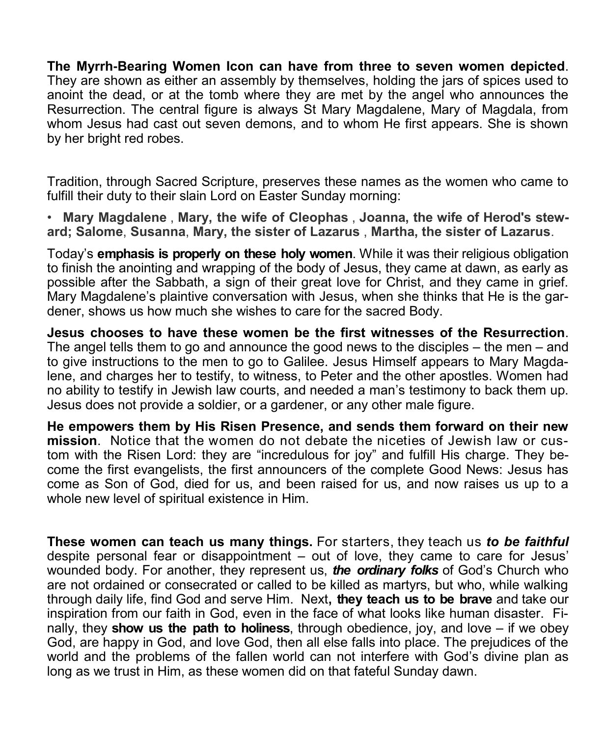**The Myrrh-Bearing Women Icon can have from three to seven women depicted**. They are shown as either an assembly by themselves, holding the jars of spices used to anoint the dead, or at the tomb where they are met by the angel who announces the Resurrection. The central figure is always St Mary Magdalene, Mary of Magdala, from whom Jesus had cast out seven demons, and to whom He first appears. She is shown by her bright red robes.

Tradition, through Sacred Scripture, preserves these names as the women who came to fulfill their duty to their slain Lord on Easter Sunday morning:

• **Mary Magdalene** , **Mary, the wife of Cleophas** , **Joanna, the wife of Herod's steward; Salome**, **Susanna**, **Mary, the sister of Lazarus** , **Martha, the sister of Lazarus**.

Today's **emphasis is properly on these holy women**. While it was their religious obligation to finish the anointing and wrapping of the body of Jesus, they came at dawn, as early as possible after the Sabbath, a sign of their great love for Christ, and they came in grief. Mary Magdalene's plaintive conversation with Jesus, when she thinks that He is the gardener, shows us how much she wishes to care for the sacred Body.

**Jesus chooses to have these women be the first witnesses of the Resurrection**. The angel tells them to go and announce the good news to the disciples  $-$  the men  $-$  and to give instructions to the men to go to Galilee. Jesus Himself appears to Mary Magdalene, and charges her to testify, to witness, to Peter and the other apostles. Women had no ability to testify in Jewish law courts, and needed a man's testimony to back them up. Jesus does not provide a soldier, or a gardener, or any other male figure.

**He empowers them by His Risen Presence, and sends them forward on their new mission**. Notice that the women do not debate the niceties of Jewish law or custom with the Risen Lord: they are "incredulous for joy" and fulfill His charge. They become the first evangelists, the first announcers of the complete Good News: Jesus has come as Son of God, died for us, and been raised for us, and now raises us up to a whole new level of spiritual existence in Him.

**These women can teach us many things.** For starters, they teach us *to be faithful* despite personal fear or disappointment – out of love, they came to care for Jesus' wounded body. For another, they represent us, *the ordinary folks* of God's Church who are not ordained or consecrated or called to be killed as martyrs, but who, while walking through daily life, find God and serve Him. Next**, they teach us to be brave** and take our inspiration from our faith in God, even in the face of what looks like human disaster. Finally, they **show us the path to holiness**, through obedience, joy, and love – if we obey God, are happy in God, and love God, then all else falls into place. The prejudices of the world and the problems of the fallen world can not interfere with God's divine plan as long as we trust in Him, as these women did on that fateful Sunday dawn.